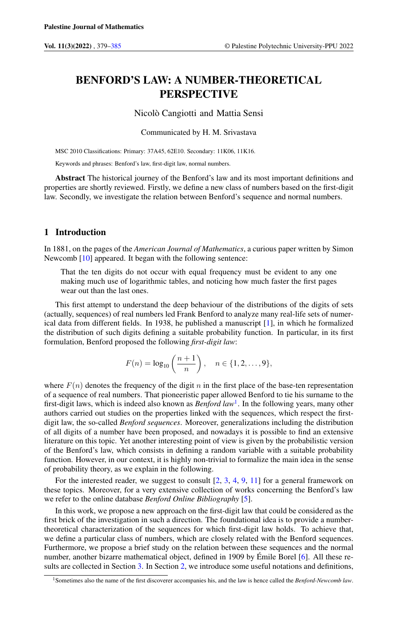# BENFORD'S LAW: A NUMBER-THEORETICAL PERSPECTIVE

Nicolò Cangiotti and Mattia Sensi

Communicated by H. M. Srivastava

MSC 2010 Classifications: Primary: 37A45, 62E10. Secondary: 11K06, 11K16.

Keywords and phrases: Benford's law, first-digit law, normal numbers.

Abstract The historical journey of the Benford's law and its most important definitions and properties are shortly reviewed. Firstly, we define a new class of numbers based on the first-digit law. Secondly, we investigate the relation between Benford's sequence and normal numbers.

# 1 Introduction

In 1881, on the pages of the *American Journal of Mathematics*, a curious paper written by Simon Newcomb [\[10\]](#page-5-1) appeared. It began with the following sentence:

That the ten digits do not occur with equal frequency must be evident to any one making much use of logarithmic tables, and noticing how much faster the first pages wear out than the last ones.

This first attempt to understand the deep behaviour of the distributions of the digits of sets (actually, sequences) of real numbers led Frank Benford to analyze many real-life sets of numerical data from different fields. In 1938, he published a manuscript [\[1\]](#page-5-2), in which he formalized the distribution of such digits defining a suitable probability function. In particular, in its first formulation, Benford proposed the following *first-digit law*:

$$
F(n) = \log_{10}\left(\frac{n+1}{n}\right), \quad n \in \{1, 2, \dots, 9\},\
$$

where  $F(n)$  denotes the frequency of the digit n in the first place of the base-ten representation of a sequence of real numbers. That pioneeristic paper allowed Benford to tie his surname to the first-digit laws, which is indeed also known as *Benford law*[1](#page-0-0) . In the following years, many other authors carried out studies on the properties linked with the sequences, which respect the firstdigit law, the so-called *Benford sequences*. Moreover, generalizations including the distribution of all digits of a number have been proposed, and nowadays it is possible to find an extensive literature on this topic. Yet another interesting point of view is given by the probabilistic version of the Benford's law, which consists in defining a random variable with a suitable probability function. However, in our context, it is highly non-trivial to formalize the main idea in the sense of probability theory, as we explain in the following.

For the interested reader, we suggest to consult [\[2,](#page-5-3) [3,](#page-5-4) [4,](#page-5-5) [9,](#page-5-6) [11\]](#page-6-0) for a general framework on these topics. Moreover, for a very extensive collection of works concerning the Benford's law we refer to the online database *Benford Online Bibliography* [\[5\]](#page-5-7).

In this work, we propose a new approach on the first-digit law that could be considered as the first brick of the investigation in such a direction. The foundational idea is to provide a numbertheoretical characterization of the sequences for which first-digit law holds. To achieve that, we define a particular class of numbers, which are closely related with the Benford sequences. Furthermore, we propose a brief study on the relation between these sequences and the normal number, another bizarre mathematical object, defined in 1909 by Émile Borel [\[6\]](#page-5-8). All these results are collected in Section [3.](#page-2-0) In Section [2,](#page-1-0) we introduce some useful notations and definitions,

<span id="page-0-0"></span><sup>1</sup>Sometimes also the name of the first discoverer accompanies his, and the law is hence called the *Benford-Newcomb law*.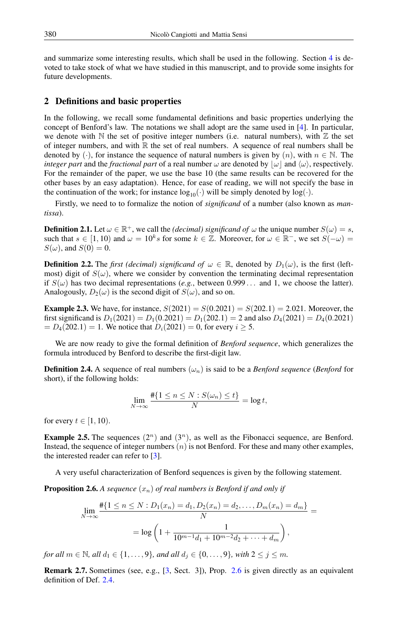and summarize some interesting results, which shall be used in the following. Section [4](#page-5-9) is devoted to take stock of what we have studied in this manuscript, and to provide some insights for future developments.

# <span id="page-1-0"></span>2 Definitions and basic properties

In the following, we recall some fundamental definitions and basic properties underlying the concept of Benford's law. The notations we shall adopt are the same used in [\[4\]](#page-5-5). In particular, we denote with  $N$  the set of positive integer numbers (i.e. natural numbers), with  $Z$  the set of integer numbers, and with  $\mathbb R$  the set of real numbers. A sequence of real numbers shall be denoted by (·), for instance the sequence of natural numbers is given by  $(n)$ , with  $n \in \mathbb{N}$ . The *integer part* and the *fractional part* of a real number  $\omega$  are denoted by  $|\omega|$  and  $\langle \omega \rangle$ , respectively. For the remainder of the paper, we use the base 10 (the same results can be recovered for the other bases by an easy adaptation). Hence, for ease of reading, we will not specify the base in the continuation of the work; for instance  $log_{10}(\cdot)$  will be simply denoted by  $log(\cdot)$ .

Firstly, we need to to formalize the notion of *significand* of a number (also known as *mantissa*).

<span id="page-1-3"></span>**Definition 2.1.** Let  $\omega \in \mathbb{R}^+$ , we call the *(decimal) significand of*  $\omega$  the unique number  $S(\omega) = s$ , such that  $s \in [1, 10)$  and  $\omega = 10^k s$  for some  $k \in \mathbb{Z}$ . Moreover, for  $\omega \in \mathbb{R}^-$ , we set  $S(-\omega) =$  $S(\omega)$ , and  $S(0) = 0$ .

**Definition 2.2.** The *first (decimal) significand of*  $\omega \in \mathbb{R}$ , denoted by  $D_1(\omega)$ , is the first (leftmost) digit of  $S(\omega)$ , where we consider by convention the terminating decimal representation if  $S(\omega)$  has two decimal representations (*e.g.*, between 0.999... and 1, we choose the latter). Analogously,  $D_2(\omega)$  is the second digit of  $S(\omega)$ , and so on.

**Example 2.3.** We have, for instance,  $S(2021) = S(0.2021) = S(202.1) = 2.021$ . Moreover, the first significand is  $D_1(2021) = D_1(0.2021) = D_1(202.1) = 2$  and also  $D_4(2021) = D_4(0.2021)$  $= D_4(202.1) = 1$ . We notice that  $D_i(2021) = 0$ , for every  $i \ge 5$ .

We are now ready to give the formal definition of *Benford sequence*, which generalizes the formula introduced by Benford to describe the first-digit law.

<span id="page-1-2"></span>**Definition 2.4.** A sequence of real numbers  $(\omega_n)$  is said to be a *Benford sequence* (*Benford* for short), if the following holds:

$$
\lim_{N \to \infty} \frac{\#\{1 \le n \le N : S(\omega_n) \le t\}}{N} = \log t,
$$

for every  $t \in [1, 10)$ .

**Example 2.5.** The sequences  $(2^n)$  and  $(3^n)$ , as well as the Fibonacci sequence, are Benford. Instead, the sequence of integer numbers  $(n)$  is not Benford. For these and many other examples, the interested reader can refer to [\[3\]](#page-5-4).

A very useful characterization of Benford sequences is given by the following statement.

<span id="page-1-1"></span>**Proposition 2.6.** A sequence  $(x_n)$  of real numbers is Benford if and only if

$$
\lim_{N \to \infty} \frac{\#\{1 \le n \le N : D_1(x_n) = d_1, D_2(x_n) = d_2, \dots, D_m(x_n) = d_m\}}{N} = \log \left(1 + \frac{1}{10^{m-1}d_1 + 10^{m-2}d_2 + \dots + d_m}\right),
$$

*for all*  $m \in \mathbb{N}$ *, all*  $d_1 \in \{1, ..., 9\}$ *, and all*  $d_j \in \{0, ..., 9\}$ *, with*  $2 \leq j \leq m$ *.* 

Remark 2.7. Sometimes (see, e.g., [\[3,](#page-5-4) Sect. 3]), Prop. [2.6](#page-1-1) is given directly as an equivalent definition of Def. [2.4.](#page-1-2)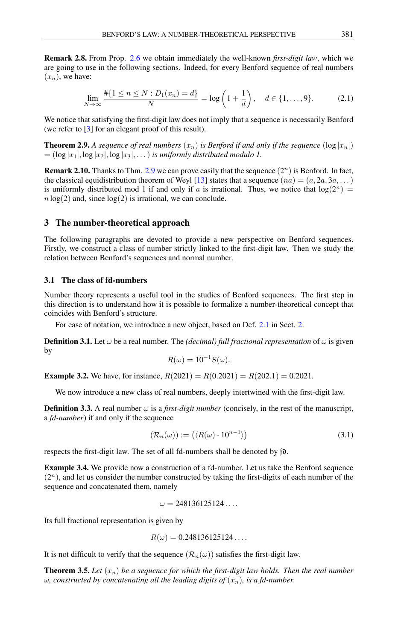<span id="page-2-2"></span>Remark 2.8. From Prop. [2.6](#page-1-1) we obtain immediately the well-known *first-digit law*, which we are going to use in the following sections. Indeed, for every Benford sequence of real numbers  $(x_n)$ , we have:

<span id="page-2-5"></span>
$$
\lim_{N \to \infty} \frac{\#\{1 \le n \le N : D_1(x_n) = d\}}{N} = \log\left(1 + \frac{1}{d}\right), \quad d \in \{1, \dots, 9\}.
$$
 (2.1)

We notice that satisfying the first-digit law does not imply that a sequence is necessarily Benford (we refer to [\[3\]](#page-5-4) for an elegant proof of this result).

<span id="page-2-1"></span>**Theorem 2.9.** A sequence of real numbers  $(x_n)$  is Benford if and only if the sequence  $(\log |x_n|)$  $=$   $(\log |x_1|, \log |x_2|, \log |x_3|, \ldots)$  *is uniformly distributed modulo 1.* 

**Remark 2.10.** Thanks to Thm. [2.9](#page-2-1) we can prove easily that the sequence  $(2^n)$  is Benford. In fact, the classical equidistribution theorem of Weyl [\[13\]](#page-6-1) states that a sequence  $(na) = (a, 2a, 3a, ...)$ is uniformly distributed mod 1 if and only if a is irrational. Thus, we notice that  $log(2^n)$  $n \log(2)$  and, since  $\log(2)$  is irrational, we can conclude.

#### <span id="page-2-0"></span>3 The number-theoretical approach

The following paragraphs are devoted to provide a new perspective on Benford sequences. Firstly, we construct a class of number strictly linked to the first-digit law. Then we study the relation between Benford's sequences and normal number.

#### 3.1 The class of fd-numbers

Number theory represents a useful tool in the studies of Benford sequences. The first step in this direction is to understand how it is possible to formalize a number-theoretical concept that coincides with Benford's structure.

For ease of notation, we introduce a new object, based on Def. [2.1](#page-1-3) in Sect. [2.](#page-1-0)

**Definition 3.1.** Let  $\omega$  be a real number. The *(decimal) full fractional representation* of  $\omega$  is given by

<span id="page-2-4"></span>
$$
R(\omega) = 10^{-1} S(\omega).
$$

**Example 3.2.** We have, for instance,  $R(2021) = R(0.2021) = R(202.1) = 0.2021$ .

We now introduce a new class of real numbers, deeply intertwined with the first-digit law.

**Definition 3.3.** A real number  $\omega$  is a *first-digit number* (concisely, in the rest of the manuscript, a *fd-number*) if and only if the sequence

$$
(\mathcal{R}_n(\omega)) := (\langle R(\omega) \cdot 10^{n-1} \rangle)
$$
\n(3.1)

respects the first-digit law. The set of all fd-numbers shall be denoted by fd.

<span id="page-2-3"></span>Example 3.4. We provide now a construction of a fd-number. Let us take the Benford sequence  $(2<sup>n</sup>)$ , and let us consider the number constructed by taking the first-digits of each number of the sequence and concatenated them, namely

$$
\omega=248136125124\ldots
$$

Its full fractional representation is given by

$$
R(\omega) = 0.248136125124\dots
$$

It is not difficult to verify that the sequence  $(\mathcal{R}_n(\omega))$  satisfies the first-digit law.

**Theorem 3.5.** Let  $(x_n)$  be a sequence for which the first-digit law holds. Then the real number  $\omega$ *, constructed by concatenating all the leading digits of*  $(x_n)$ *, is a fd-number.*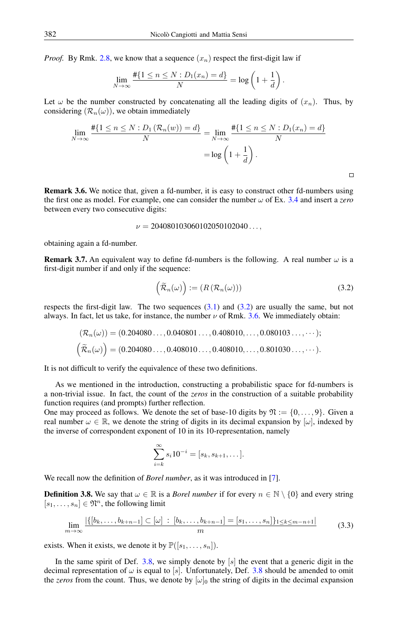*Proof.* By Rmk. [2.8,](#page-2-2) we know that a sequence  $(x_n)$  respect the first-digit law if

$$
\lim_{N \to \infty} \frac{\#\{1 \le n \le N : D_1(x_n) = d\}}{N} = \log\left(1 + \frac{1}{d}\right).
$$

Let  $\omega$  be the number constructed by concatenating all the leading digits of  $(x_n)$ . Thus, by considering  $(\mathcal{R}_n(\omega))$ , we obtain immediately

$$
\lim_{N \to \infty} \frac{\#\{1 \le n \le N : D_1(\mathcal{R}_n(w)) = d\}}{N} = \lim_{N \to \infty} \frac{\#\{1 \le n \le N : D_1(x_n) = d\}}{N} = \log \left(1 + \frac{1}{d}\right).
$$

<span id="page-3-1"></span>Remark 3.6. We notice that, given a fd-number, it is easy to construct other fd-numbers using the first one as model. For example, one can consider the number ω of Ex. [3.4](#page-2-3) and insert a *zero* between every two consecutive digits:

$$
\nu=204080103060102050102040...,
$$

obtaining again a fd-number.

**Remark 3.7.** An equivalent way to define fd-numbers is the following. A real number  $\omega$  is a first-digit number if and only if the sequence:

$$
\left(\widetilde{\mathcal{R}}_n(\omega)\right) := \left(R\left(\mathcal{R}_n(\omega)\right)\right) \tag{3.2}
$$

<span id="page-3-0"></span> $\Box$ 

respects the first-digit law. The two sequences  $(3.1)$  and  $(3.2)$  are usually the same, but not always. In fact, let us take, for instance, the number  $\nu$  of Rmk. [3.6.](#page-3-1) We immediately obtain:

$$
(\mathcal{R}_n(\omega)) = (0.204080..., 0.040801..., 0.408010,..., 0.080103..., \cdots);
$$
  

$$
(\widetilde{\mathcal{R}}_n(\omega)) = (0.204080..., 0.408010..., 0.408010,..., 0.801030..., \cdots).
$$

It is not difficult to verify the equivalence of these two definitions.

As we mentioned in the introduction, constructing a probabilistic space for fd-numbers is a non-trivial issue. In fact, the count of the *zeros* in the construction of a suitable probability function requires (and prompts) further reflection.

One may proceed as follows. We denote the set of base-10 digits by  $\mathfrak{N} := \{0, \ldots, 9\}$ . Given a real number  $\omega \in \mathbb{R}$ , we denote the string of digits in its decimal expansion by  $[\omega]$ , indexed by the inverse of correspondent exponent of 10 in its 10-representation, namely

<span id="page-3-3"></span>
$$
\sum_{i=k}^{\infty} s_i 10^{-i} = [s_k, s_{k+1}, \dots].
$$

We recall now the definition of *Borel number*, as it was introduced in [\[7\]](#page-5-10).

<span id="page-3-2"></span>**Definition 3.8.** We say that  $\omega \in \mathbb{R}$  is a *Borel number* if for every  $n \in \mathbb{N} \setminus \{0\}$  and every string  $[s_1, \ldots, s_n] \in \mathfrak{N}^n,$  the following limit

$$
\lim_{m \to \infty} \frac{|\{[b_k, \dots, b_{k+n-1}] \subset [\omega] : [b_k, \dots, b_{k+n-1}] = [s_1, \dots, s_n]\}_{1 \le k \le m-n+1}|}{m}
$$
(3.3)

exists. When it exists, we denote it by  $\mathbb{P}([s_1, \ldots, s_n]).$ 

In the same spirit of Def. [3.8,](#page-3-2) we simply denote by  $\lfloor s \rfloor$  the event that a generic digit in the decimal representation of  $\omega$  is equal to [s]. Unfortunately, Def. [3.8](#page-3-2) should be amended to omit the *zeros* from the count. Thus, we denote by  $[\omega]_0$  the string of digits in the decimal expansion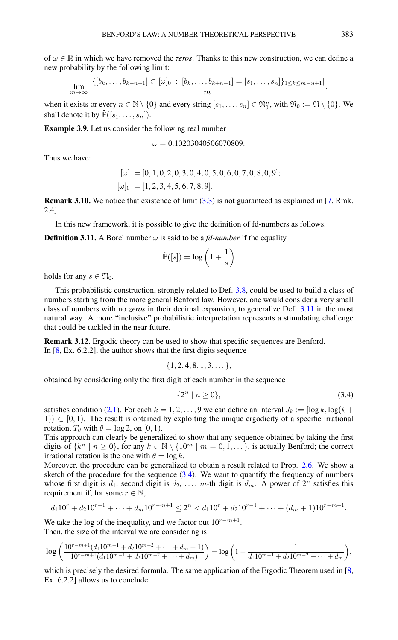of  $\omega \in \mathbb{R}$  in which we have removed the *zeros*. Thanks to this new construction, we can define a new probability by the following limit:

$$
\lim_{m \to \infty} \frac{|\{[b_k, \ldots, b_{k+n-1}] \subset [\omega]_0 : [b_k, \ldots, b_{k+n-1}] = [s_1, \ldots, s_n]\}_{1 \leq k \leq m-n+1}|}{m}.
$$

when it exists or every  $n \in \mathbb{N} \setminus \{0\}$  and every string  $[s_1, \ldots, s_n] \in \mathfrak{N}_0^n$ , with  $\mathfrak{N}_0 := \mathfrak{N} \setminus \{0\}$ . We shall denote it by  $\mathbb{P}([s_1, \ldots, s_n]).$ 

Example 3.9. Let us consider the following real number

$$
\omega=0.10203040506070809.
$$

Thus we have:

$$
[\omega] = [0, 1, 0, 2, 0, 3, 0, 4, 0, 5, 0, 6, 0, 7, 0, 8, 0, 9];
$$
  

$$
[\omega]_0 = [1, 2, 3, 4, 5, 6, 7, 8, 9].
$$

Remark 3.10. We notice that existence of limit [\(3.3\)](#page-3-3) is not guaranteed as explained in [\[7,](#page-5-10) Rmk. 2.4].

In this new framework, it is possible to give the definition of fd-numbers as follows.

<span id="page-4-0"></span>**Definition 3.11.** A Borel number  $\omega$  is said to be a *fd-number* if the equality

$$
\hat{\mathbb{P}}([s]) = \log\left(1 + \frac{1}{s}\right)
$$

holds for any  $s \in \mathfrak{N}_0$ .

This probabilistic construction, strongly related to Def. [3.8,](#page-3-2) could be used to build a class of numbers starting from the more general Benford law. However, one would consider a very small class of numbers with no *zeros* in their decimal expansion, to generalize Def. [3.11](#page-4-0) in the most natural way. A more "inclusive" probabilistic interpretation represents a stimulating challenge that could be tackled in the near future.

Remark 3.12. Ergodic theory can be used to show that specific sequences are Benford. In [\[8,](#page-5-11) Ex. 6.2.2], the author shows that the first digits sequence

$$
\{1,2,4,8,1,3,\dots\},\
$$

obtained by considering only the first digit of each number in the sequence

<span id="page-4-1"></span>
$$
\{2^n \mid n \ge 0\},\tag{3.4}
$$

satisfies condition [\(2.1\)](#page-2-5). For each  $k = 1, 2, ..., 9$  we can define an interval  $J_k := [\log k, \log(k +$  $(1)$ )  $\subset$  [0, 1). The result is obtained by exploiting the unique ergodicity of a specific irrational rotation,  $T_{\theta}$  with  $\theta = \log 2$ , on [0, 1).

This approach can clearly be generalized to show that any sequence obtained by taking the first digits of  $\{k^n \mid n \ge 0\}$ , for any  $k \in \mathbb{N} \setminus \{10^m \mid m = 0, 1, \ldots\}$ , is actually Benford; the correct irrational rotation is the one with  $\theta = \log k$ .

Moreover, the procedure can be generalized to obtain a result related to Prop. [2.6.](#page-1-1) We show a sketch of the procedure for the sequence  $(3.4)$ . We want to quantify the frequency of numbers whose first digit is  $d_1$ , second digit is  $d_2$ , ..., m-th digit is  $d_m$ . A power of  $2^n$  satisfies this requirement if, for some  $r \in \mathbb{N}$ ,

$$
d_1 10^r + d_2 10^{r-1} + \dots + d_m 10^{r-m+1} \le 2^n < d_1 10^r + d_2 10^{r-1} + \dots + (d_m + 1) 10^{r-m+1}.
$$

We take the log of the inequality, and we factor out  $10^{r-m+1}$ . Then, the size of the interval we are considering is

$$
\log\left(\frac{10^{r-m+1}(d_110^{m-1}+d_210^{m-2}+\cdots+d_m+1)}{10^{r-m+1}(d_110^{m-1}+d_210^{m-2}+\cdots+d_m)}\right)=\log\left(1+\frac{1}{d_110^{m-1}+d_210^{m-2}+\cdots+d_m}\right),
$$

which is precisely the desired formula. The same application of the Ergodic Theorem used in [\[8,](#page-5-11) Ex. 6.2.2] allows us to conclude.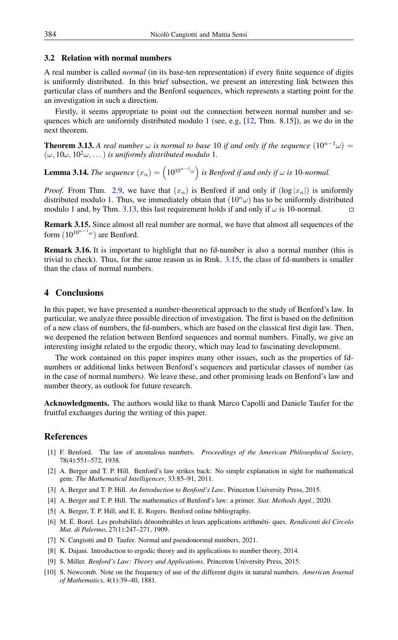# 3.2 Relation with normal numbers

A real number is called *normal* (in its base-ten representation) if every finite sequence of digits is uniformly distributed. In this brief subsection, we present an interesting link between this particular class of numbers and the Benford sequences, which represents a starting point for the an investigation in such a direction.

Firstly, it seems appropriate to point out the connection between normal number and sequences which are uniformly distributed modulo 1 (see, e.g,  $[12, Thm. 8.15]$  $[12, Thm. 8.15]$ ), as we do in the next theorem.

<span id="page-5-12"></span>**Theorem 3.13.** A real number  $\omega$  is normal to base 10 if and only if the sequence  $(10^{n-1}\omega)$  =  $(\omega, 10\omega, 10^2\omega, \dots)$  *is uniformly distributed modulo* 1.

**Lemma 3.14.** The sequence  $(x_n) = \left(10^{10^{n-1}\omega}\right)$  is Benford if and only if  $\omega$  is 10-normal.

*Proof.* From Thm. [2.9,](#page-2-1) we have that  $(x_n)$  is Benford if and only if  $(\log |x_n|)$  is uniformly distributed modulo 1. Thus, we immediately obtain that  $(10<sup>n</sup> \omega)$  has to be uniformly distributed modulo 1 and, by Thm. [3.13,](#page-5-12) this last requirement holds if and only if  $\omega$  is 10-normal.  $\Box$ 

<span id="page-5-13"></span>Remark 3.15. Since almost all real number are normal, we have that almost all sequences of the form  $(10^{10^{n-1}\omega})$  are Benford.

Remark 3.16. It is important to highlight that no fd-number is also a normal number (this is trivial to check). Thus, for the same reason as in Rmk.  $3.15$ , the class of fd-numbers is smaller than the class of normal numbers.

# <span id="page-5-9"></span>4 Conclusions

In this paper, we have presented a number-theoretical approach to the study of Benford's law. In particular, we analyze three possible direction of investigation. The first is based on the definition of a new class of numbers, the fd-numbers, which are based on the classical first digit law. Then, we deepened the relation between Benford sequences and normal numbers. Finally, we give an interesting insight related to the ergodic theory, which may lead to fascinating development.

The work contained on this paper inspires many other issues, such as the properties of fdnumbers or additional links between Benford's sequences and particular classes of number (as in the case of normal numbers). We leave these, and other promising leads on Benford's law and number theory, as outlook for future research.

Acknowledgments. The authors would like to thank Marco Capolli and Daniele Taufer for the fruitful exchanges during the writing of this paper.

### <span id="page-5-0"></span>References

- <span id="page-5-2"></span>[1] F. Benford. The law of anomalous numbers. *Proceedings of the American Philosophical Society*, 78(4):551–572, 1938.
- <span id="page-5-3"></span>[2] A. Berger and T. P. Hill. Benford's law strikes back: No simple explanation in sight for mathematical gem. *The Mathematical Intelligencer*, 33:85–91, 2011.
- <span id="page-5-4"></span>[3] A. Berger and T. P. Hill. *An Introduction to Benford's Law*. Princeton University Press, 2015.
- <span id="page-5-5"></span>[4] A. Berger and T. P. Hill. The mathematics of Benford's law: a primer. *Stat. Methods Appl.*, 2020.
- <span id="page-5-7"></span>[5] A. Berger, T. P. Hill, and E. E. Rogers. Benford online bibliography.
- <span id="page-5-8"></span>[6] M. É. Borel. Les probabilités dénombrables et leurs applications arithméti- ques. *Rendiconti del Circolo Mat. di Palermo*, 27(1):247–271, 1909.
- <span id="page-5-10"></span>[7] N. Cangiotti and D. Taufer. Normal and pseudonormal numbers, 2021.
- <span id="page-5-11"></span>[8] K. Dajani. Introduction to ergodic theory and its applications to number theory, 2014.
- <span id="page-5-6"></span>[9] S. Miller. *Benford's Law: Theory and Applications*. Princeton University Press, 2015.
- <span id="page-5-1"></span>[10] S. Newcomb. Note on the frequency of use of the different digits in natural numbers. *American Journal of Mathematics*, 4(1):39–40, 1881.